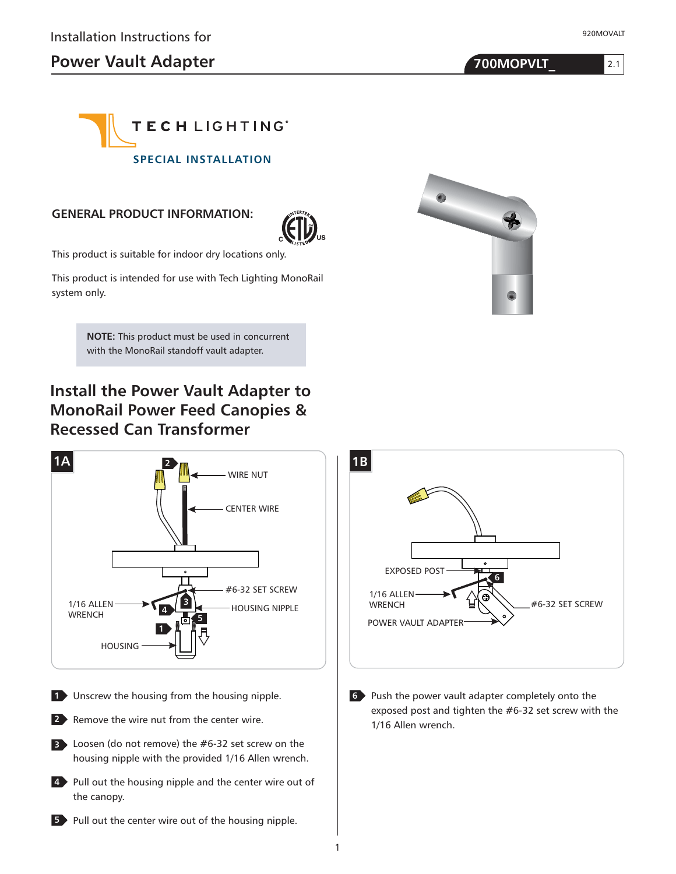# **Power Vault Adapter 100 MOPVLT**

920MOVALT

2.1



#### **GENERAL PRODUCT INFORMATION:**



This product is suitable for indoor dry locations only.

This product is intended for use with Tech Lighting MonoRail system only.

> **NOTE:** This product must be used in concurrent with the MonoRail standoff vault adapter.

# **Install the Power Vault Adapter to MonoRail Power Feed Canopies & Recessed Can Transformer**



1



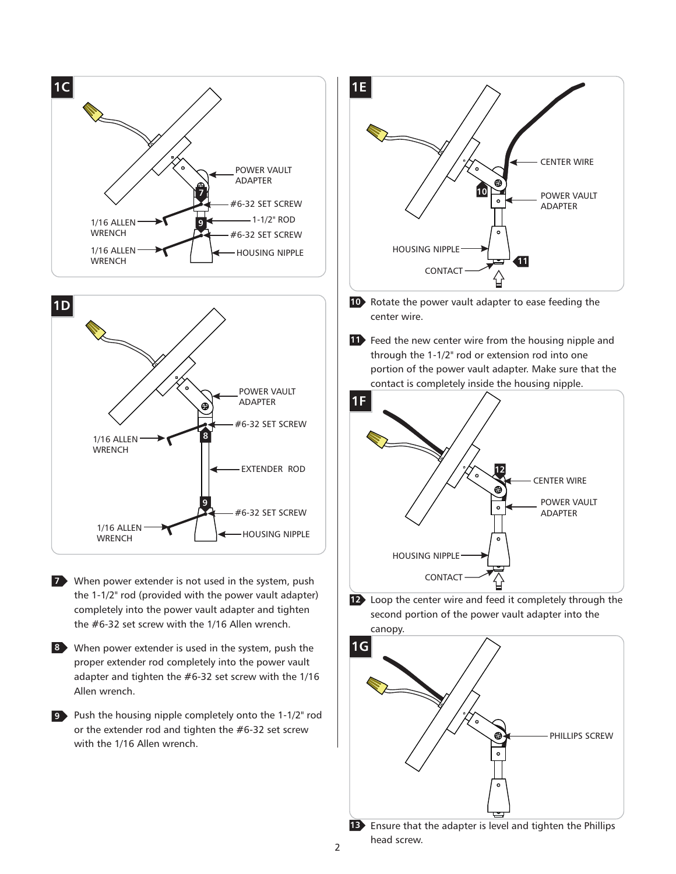



When power extender is not used in the system, push **7** the 1-1/2" rod (provided with the power vault adapter) completely into the power vault adapter and tighten the #6-32 set screw with the 1/16 Allen wrench.

When power extender is used in the system, push the **8** proper extender rod completely into the power vault adapter and tighten the #6-32 set screw with the 1/16 Allen wrench.

Push the housing nipple completely onto the 1-1/2" rod **9** or the extender rod and tighten the #6-32 set screw with the 1/16 Allen wrench.



10 Rotate the power vault adapter to ease feeding the center wire.

**11** Feed the new center wire from the housing nipple and through the 1-1/2" rod or extension rod into one portion of the power vault adapter. Make sure that the contact is completely inside the housing nipple.



Loop the center wire and feed it completely through the **12** second portion of the power vault adapter into the canopy.



**13** Ensure that the adapter is level and tighten the Phillips head screw.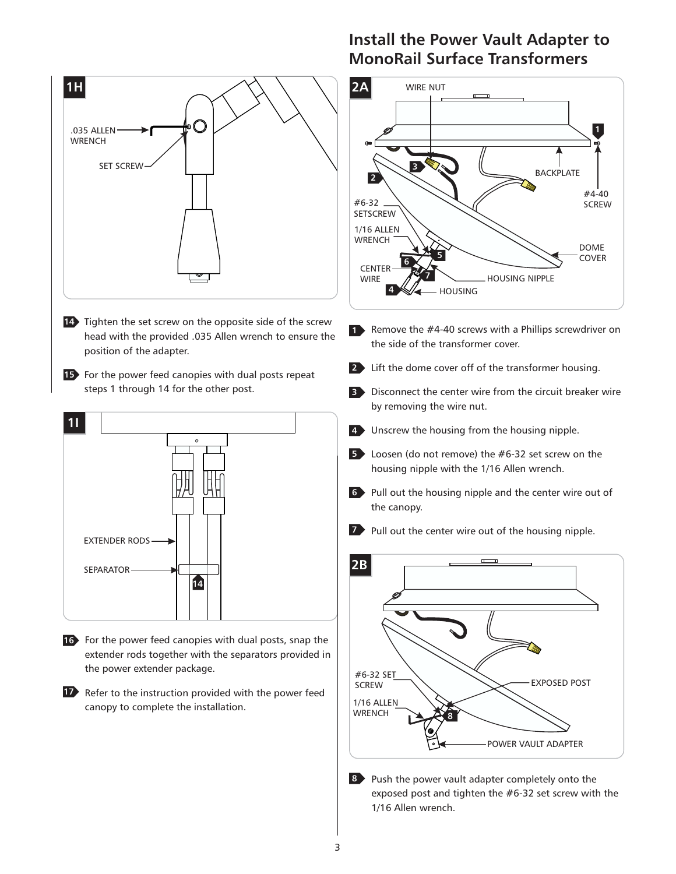

- **14** Tighten the set screw on the opposite side of the screw head with the provided .035 Allen wrench to ensure the position of the adapter.
- **15** For the power feed canopies with dual posts repeat steps 1 through 14 for the other post.



- 16 For the power feed canopies with dual posts, snap the extender rods together with the separators provided in the power extender package.
- **17** Refer to the instruction provided with the power feed canopy to complete the installation.

### **Install the Power Vault Adapter to MonoRail Surface Transformers**



- 1 Remove the #4-40 screws with a Phillips screwdriver on the side of the transformer cover.
- Lift the dome cover off of the transformer housing. **2**
- Disconnect the center wire from the circuit breaker wire **3** by removing the wire nut.
- Unscrew the housing from the housing nipple. **4**
- Loosen (do not remove) the #6-32 set screw on the **5** housing nipple with the 1/16 Allen wrench.
- Pull out the housing nipple and the center wire out of **6** the canopy.
- **Pull out the center wire out of the housing nipple.**



8 Push the power vault adapter completely onto the exposed post and tighten the #6-32 set screw with the 1/16 Allen wrench.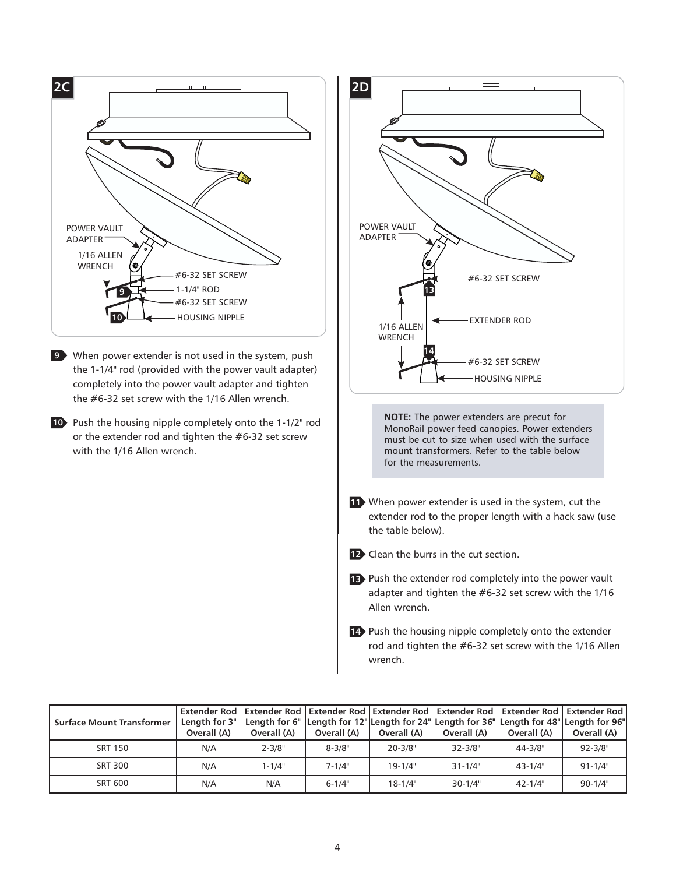

| <b>Surface Mount Transformer</b> | Overall (A) | Overall (A) | Overall (A) | Overall (A) | Overall (A) | Overall (A) | Extender Rod   Extender Rod   Extender Rod   Extender Rod   Extender Rod   Extender Rod   Extender Rod  <br>Length for 3"   Length for 6"  Length for 12" Length for 24" Length for 36" Length for 48" Length for 96" <br>Overall (A) |
|----------------------------------|-------------|-------------|-------------|-------------|-------------|-------------|---------------------------------------------------------------------------------------------------------------------------------------------------------------------------------------------------------------------------------------|
| <b>SRT 150</b>                   | N/A         | $2 - 3/8"$  | $8 - 3/8"$  | $20 - 3/8"$ | $32 - 3/8"$ | $44 - 3/8"$ | $92 - 3/8"$                                                                                                                                                                                                                           |
| <b>SRT 300</b>                   | N/A         | $1 - 1/4"$  | $7 - 1/4"$  | $19 - 1/4"$ | $31 - 1/4"$ | $43 - 1/4"$ | $91 - 1/4"$                                                                                                                                                                                                                           |
| <b>SRT 600</b>                   | N/A         | N/A         | $6 - 1/4"$  | $18 - 1/4"$ | $30 - 1/4"$ | $42 - 1/4"$ | $90 - 1/4"$                                                                                                                                                                                                                           |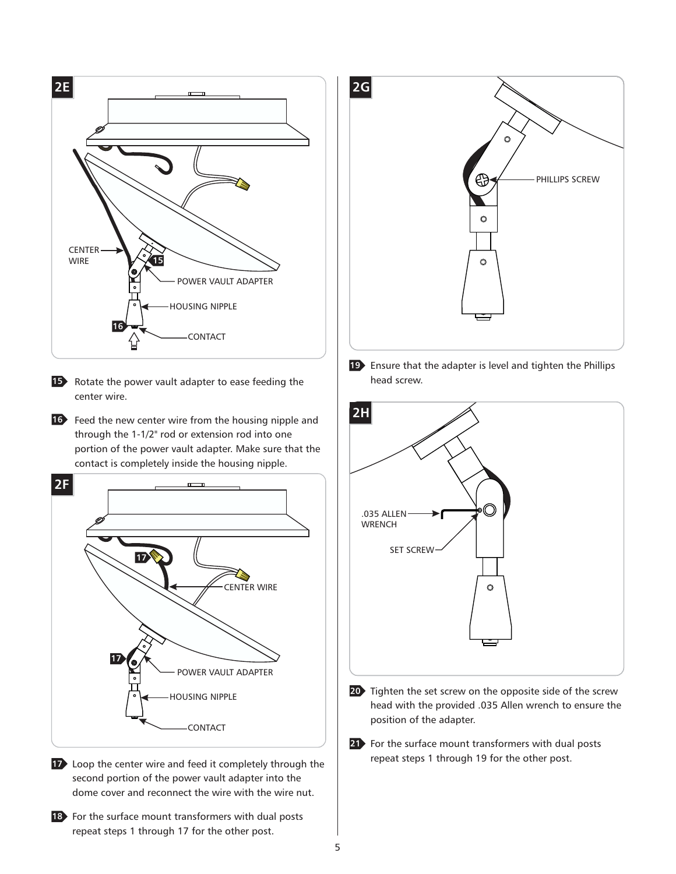

**15** Rotate the power vault adapter to ease feeding the center wire.

**16** Feed the new center wire from the housing nipple and through the 1-1/2" rod or extension rod into one portion of the power vault adapter. Make sure that the contact is completely inside the housing nipple.



Loop the center wire and feed it completely through the **17** second portion of the power vault adapter into the dome cover and reconnect the wire with the wire nut.

18 For the surface mount transformers with dual posts repeat steps 1 through 17 for the other post.



Ensure that the adapter is level and tighten the Phillips **19** head screw.



- Tighten the set screw on the opposite side of the screw **20** head with the provided .035 Allen wrench to ensure the position of the adapter.
- For the surface mount transformers with dual posts **21**repeat steps 1 through 19 for the other post.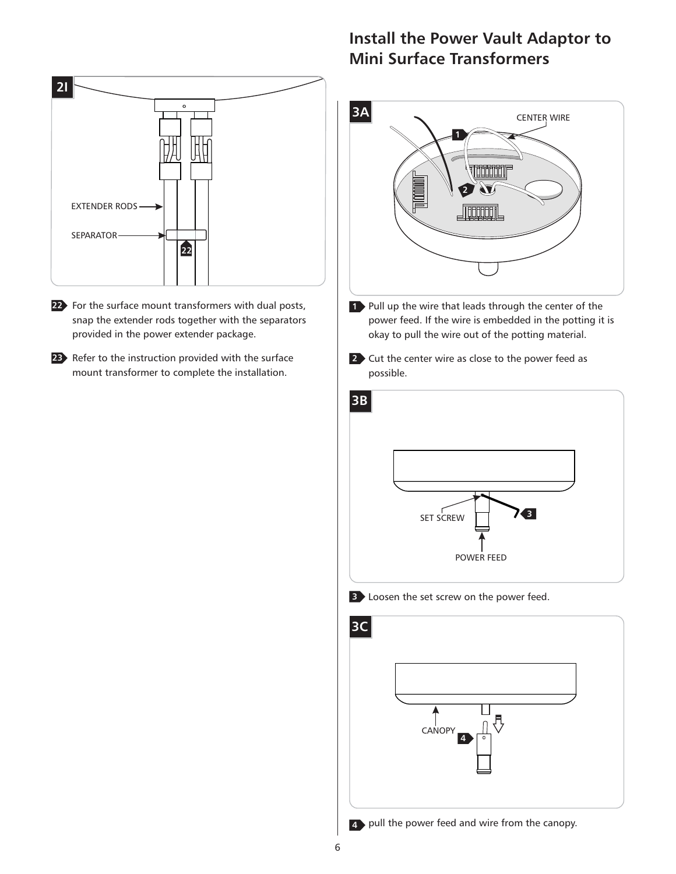

- For the surface mount transformers with dual posts, **22** snap the extender rods together with the separators provided in the power extender package.
- 23 Refer to the instruction provided with the surface mount transformer to complete the installation.

## **Install the Power Vault Adaptor to Mini Surface Transformers**





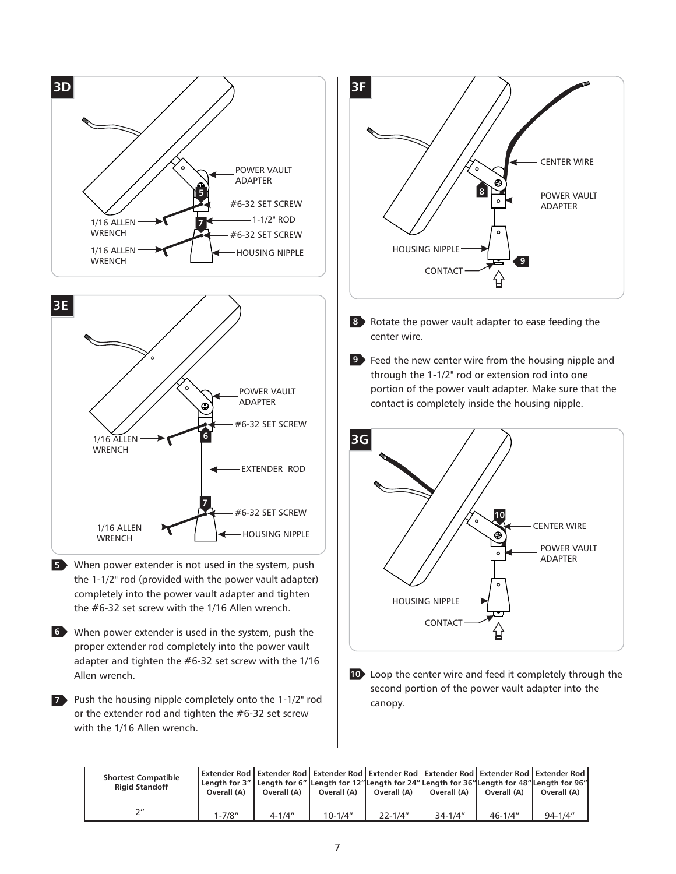



- When power extender is not used in the system, push **5** the 1-1/2" rod (provided with the power vault adapter) completely into the power vault adapter and tighten the #6-32 set screw with the 1/16 Allen wrench.
- When power extender is used in the system, push the **6** proper extender rod completely into the power vault adapter and tighten the #6-32 set screw with the 1/16 Allen wrench.
- Push the housing nipple completely onto the 1-1/2" rod **7** or the extender rod and tighten the #6-32 set screw with the 1/16 Allen wrench.



- 8 Rotate the power vault adapter to ease feeding the center wire.
- **9** Feed the new center wire from the housing nipple and through the 1-1/2" rod or extension rod into one portion of the power vault adapter. Make sure that the contact is completely inside the housing nipple.



**10** Loop the center wire and feed it completely through the second portion of the power vault adapter into the canopy.

| <b>Shortest Compatible</b><br><b>Rigid Standoff</b> | Extender Rod   Extender Rod   Extender Rod   Extender Rod   Extender Rod   Extender Rod   Extender Rod  <br>"Length for 3"   Length for 6"  Length for 12" Length for 24" Length for 36" Length for 48" Length for 96  <br>Overall (A) | Overall (A) | Overall (A) | Overall (A)  | Overall (A) | Overall (A) | Overall (A) |
|-----------------------------------------------------|----------------------------------------------------------------------------------------------------------------------------------------------------------------------------------------------------------------------------------------|-------------|-------------|--------------|-------------|-------------|-------------|
| 7''                                                 | $1 - 7/8"$                                                                                                                                                                                                                             | $4 - 1/4"$  | $10 - 1/4"$ | $77 - 1/4''$ | $34 - 1/4"$ | $46 - 1/4"$ | $94 - 1/4"$ |